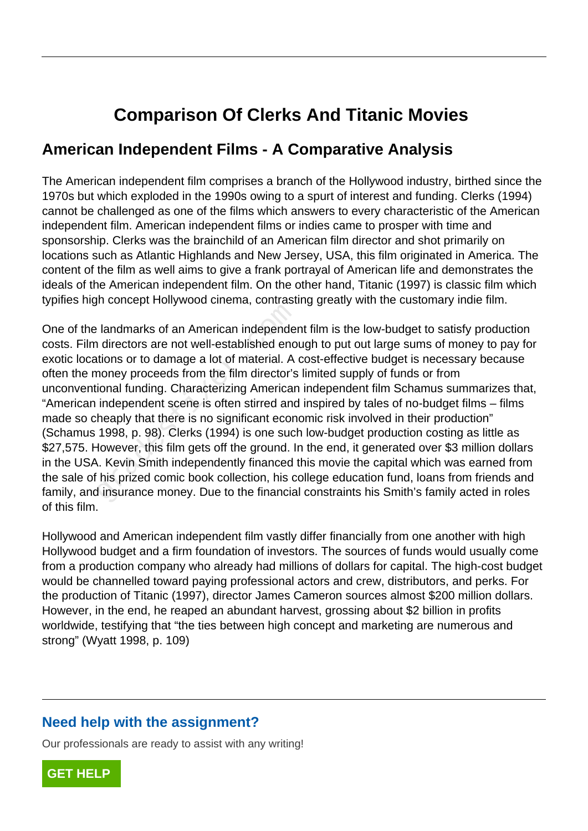# **Comparison Of Clerks And Titanic Movies**

## **American Independent Films - A Comparative Analysis**

The American independent film comprises a branch of the Hollywood industry, birthed since the 1970s but which exploded in the 1990s owing to a spurt of interest and funding. Clerks (1994) cannot be challenged as one of the films which answers to every characteristic of the American independent film. American independent films or indies came to prosper with time and sponsorship. Clerks was the brainchild of an American film director and shot primarily on locations such as Atlantic Highlands and New Jersey, USA, this film originated in America. The content of the film as well aims to give a frank portrayal of American life and demonstrates the ideals of the American independent film. On the other hand, Titanic (1997) is classic film which typifies high concept Hollywood cinema, contrasting greatly with the customary indie film.

One of the landmarks of an American independent film is the low-budget to satisfy production costs. Film directors are not well-established enough to put out large sums of money to pay for exotic locations or to damage a lot of material. A cost-effective budget is necessary because often the money proceeds from the film director's limited supply of funds or from unconventional funding. Characterizing American independent film Schamus summarizes that, "American independent scene is often stirred and inspired by tales of no-budget films – films made so cheaply that there is no significant economic risk involved in their production" (Schamus 1998, p. 98). Clerks (1994) is one such low-budget production costing as little as \$27,575. However, this film gets off the ground. In the end, it generated over \$3 million dollars in the USA. Kevin Smith independently financed this movie the capital which was earned from the sale of his prized comic book collection, his college education fund, loans from friends and family, and insurance money. Due to the financial constraints his Smith's family acted in roles of this film. Individually and American independent individuals and individually directors are not well-established enotions or to damage a lot of material. A noney proceeds from the film director's ional funding. Characterizing America

Hollywood and American independent film vastly differ financially from one another with high Hollywood budget and a firm foundation of investors. The sources of funds would usually come from a production company who already had millions of dollars for capital. The high-cost budget would be channelled toward paying professional actors and crew, distributors, and perks. For the production of Titanic (1997), director James Cameron sources almost \$200 million dollars. However, in the end, he reaped an abundant harvest, grossing about \$2 billion in profits worldwide, testifying that "the ties between high concept and marketing are numerous and strong" (Wyatt 1998, p. 109)

### **Need help with the assignment?**

Our professionals are ready to assist with any writing!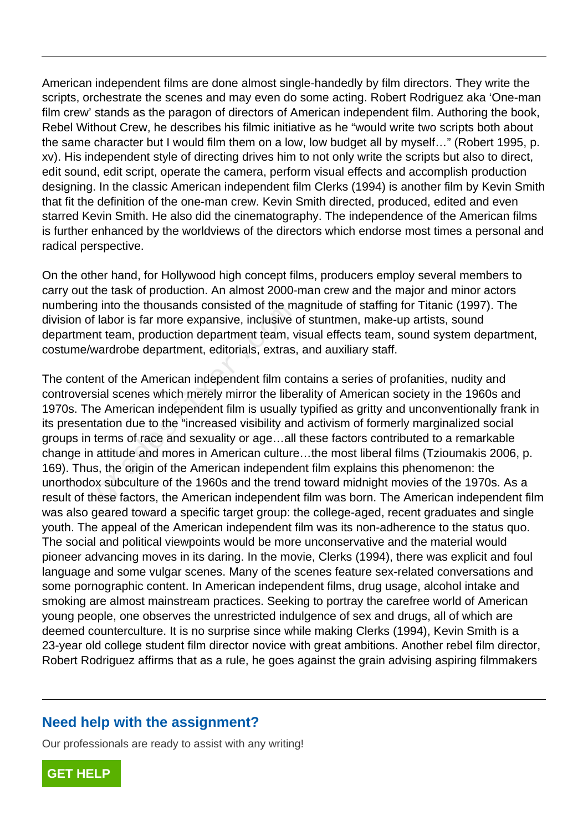American independent films are done almost single-handedly by film directors. They write the scripts, orchestrate the scenes and may even do some acting. Robert Rodriguez aka 'One-man film crew' stands as the paragon of directors of American independent film. Authoring the book, Rebel Without Crew, he describes his filmic initiative as he "would write two scripts both about the same character but I would film them on a low, low budget all by myself…" (Robert 1995, p. xv). His independent style of directing drives him to not only write the scripts but also to direct, edit sound, edit script, operate the camera, perform visual effects and accomplish production designing. In the classic American independent film Clerks (1994) is another film by Kevin Smith that fit the definition of the one-man crew. Kevin Smith directed, produced, edited and even starred Kevin Smith. He also did the cinematography. The independence of the American films is further enhanced by the worldviews of the directors which endorse most times a personal and radical perspective.

On the other hand, for Hollywood high concept films, producers employ several members to carry out the task of production. An almost 2000-man crew and the major and minor actors numbering into the thousands consisted of the magnitude of staffing for Titanic (1997). The division of labor is far more expansive, inclusive of stuntmen, make-up artists, sound department team, production department team, visual effects team, sound system department, costume/wardrobe department, editorials, extras, and auxiliary staff.

The content of the American independent film contains a series of profanities, nudity and controversial scenes which merely mirror the liberality of American society in the 1960s and 1970s. The American independent film is usually typified as gritty and unconventionally frank in its presentation due to the "increased visibility and activism of formerly marginalized social groups in terms of race and sexuality or age…all these factors contributed to a remarkable change in attitude and mores in American culture…the most liberal films (Tzioumakis 2006, p. 169). Thus, the origin of the American independent film explains this phenomenon: the unorthodox subculture of the 1960s and the trend toward midnight movies of the 1970s. As a result of these factors, the American independent film was born. The American independent film was also geared toward a specific target group: the college-aged, recent graduates and single youth. The appeal of the American independent film was its non-adherence to the status quo. The social and political viewpoints would be more unconservative and the material would pioneer advancing moves in its daring. In the movie, Clerks (1994), there was explicit and foul language and some vulgar scenes. Many of the scenes feature sex-related conversations and some pornographic content. In American independent films, drug usage, alcohol intake and smoking are almost mainstream practices. Seeking to portray the carefree world of American young people, one observes the unrestricted indulgence of sex and drugs, all of which are deemed counterculture. It is no surprise since while making Clerks (1994), Kevin Smith is a 23-year old college student film director novice with great ambitions. Another rebel film director, Robert Rodriguez affirms that as a rule, he goes against the grain advising aspiring filmmakers Find the thousands consisted of the m<br>labor is far more expansive, inclusive of<br>t team, production department team, v<br>vardrobe department, editorials, extras,<br>nt of the American independent film co<br>ial scenes which merely

#### **Need help with the assignment?**

Our professionals are ready to assist with any writing!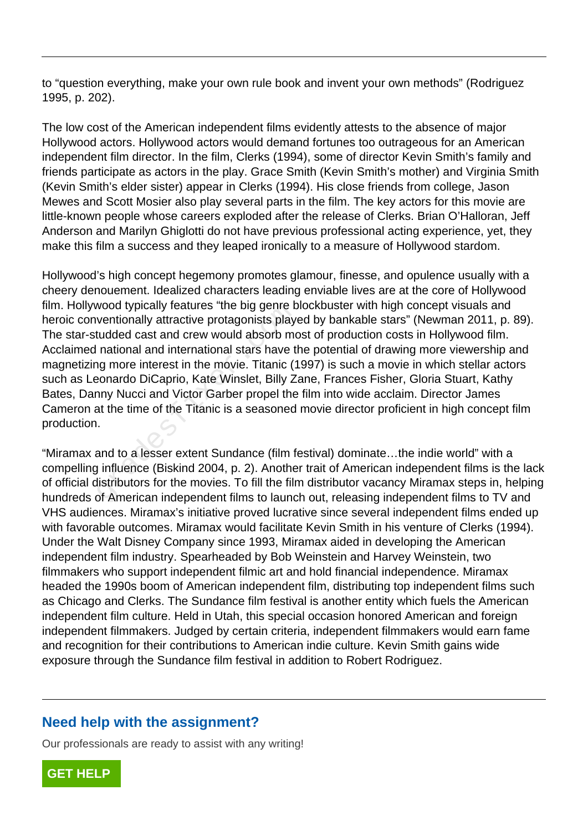to "question everything, make your own rule book and invent your own methods" (Rodriguez 1995, p. 202).

The low cost of the American independent films evidently attests to the absence of major Hollywood actors. Hollywood actors would demand fortunes too outrageous for an American independent film director. In the film, Clerks (1994), some of director Kevin Smith's family and friends participate as actors in the play. Grace Smith (Kevin Smith's mother) and Virginia Smith (Kevin Smith's elder sister) appear in Clerks (1994). His close friends from college, Jason Mewes and Scott Mosier also play several parts in the film. The key actors for this movie are little-known people whose careers exploded after the release of Clerks. Brian O'Halloran, Jeff Anderson and Marilyn Ghiglotti do not have previous professional acting experience, yet, they make this film a success and they leaped ironically to a measure of Hollywood stardom.

Hollywood's high concept hegemony promotes glamour, finesse, and opulence usually with a cheery denouement. Idealized characters leading enviable lives are at the core of Hollywood film. Hollywood typically features "the big genre blockbuster with high concept visuals and heroic conventionally attractive protagonists played by bankable stars" (Newman 2011, p. 89). The star-studded cast and crew would absorb most of production costs in Hollywood film. Acclaimed national and international stars have the potential of drawing more viewership and magnetizing more interest in the movie. Titanic (1997) is such a movie in which stellar actors such as Leonardo DiCaprio, Kate Winslet, Billy Zane, Frances Fisher, Gloria Stuart, Kathy Bates, Danny Nucci and Victor Garber propel the film into wide acclaim. Director James Cameron at the time of the Titanic is a seasoned movie director proficient in high concept film production. wood typically leatures the big gente b<br>ventionally attractive protagonists play<br>tudded cast and crew would absorb more<br>national and international stars have the<br>more interest in the movie. Titanic (1<br>eonardo DiCaprio, Kat

"Miramax and to a lesser extent Sundance (film festival) dominate…the indie world" with a compelling influence (Biskind 2004, p. 2). Another trait of American independent films is the lack of official distributors for the movies. To fill the film distributor vacancy Miramax steps in, helping hundreds of American independent films to launch out, releasing independent films to TV and VHS audiences. Miramax's initiative proved lucrative since several independent films ended up with favorable outcomes. Miramax would facilitate Kevin Smith in his venture of Clerks (1994). Under the Walt Disney Company since 1993, Miramax aided in developing the American independent film industry. Spearheaded by Bob Weinstein and Harvey Weinstein, two filmmakers who support independent filmic art and hold financial independence. Miramax headed the 1990s boom of American independent film, distributing top independent films such as Chicago and Clerks. The Sundance film festival is another entity which fuels the American independent film culture. Held in Utah, this special occasion honored American and foreign independent filmmakers. Judged by certain criteria, independent filmmakers would earn fame and recognition for their contributions to American indie culture. Kevin Smith gains wide exposure through the Sundance film festival in addition to Robert Rodriguez.

#### **Need help with the assignment?**

Our professionals are ready to assist with any writing!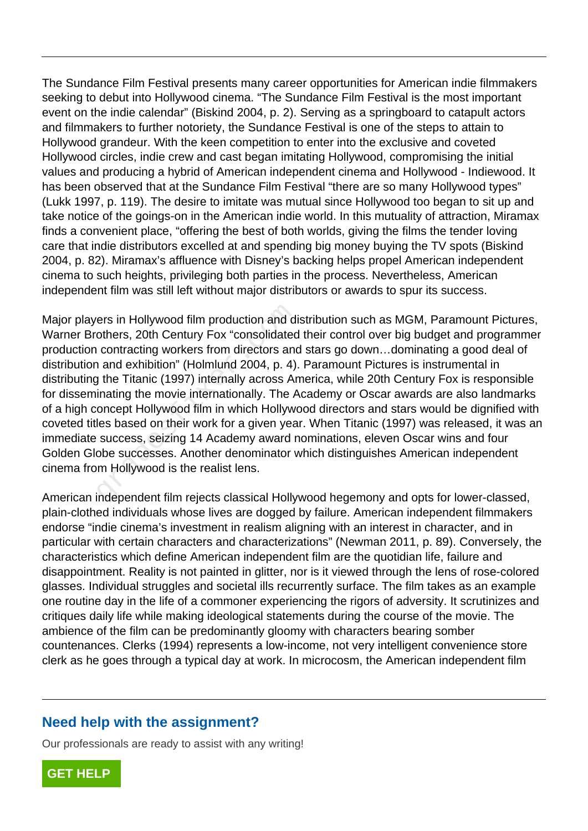The Sundance Film Festival presents many career opportunities for American indie filmmakers seeking to debut into Hollywood cinema. "The Sundance Film Festival is the most important event on the indie calendar" (Biskind 2004, p. 2). Serving as a springboard to catapult actors and filmmakers to further notoriety, the Sundance Festival is one of the steps to attain to Hollywood grandeur. With the keen competition to enter into the exclusive and coveted Hollywood circles, indie crew and cast began imitating Hollywood, compromising the initial values and producing a hybrid of American independent cinema and Hollywood - Indiewood. It has been observed that at the Sundance Film Festival "there are so many Hollywood types" (Lukk 1997, p. 119). The desire to imitate was mutual since Hollywood too began to sit up and take notice of the goings-on in the American indie world. In this mutuality of attraction, Miramax finds a convenient place, "offering the best of both worlds, giving the films the tender loving care that indie distributors excelled at and spending big money buying the TV spots (Biskind 2004, p. 82). Miramax's affluence with Disney's backing helps propel American independent cinema to such heights, privileging both parties in the process. Nevertheless, American independent film was still left without major distributors or awards to spur its success.

Major players in Hollywood film production and distribution such as MGM, Paramount Pictures, Warner Brothers, 20th Century Fox "consolidated their control over big budget and programmer production contracting workers from directors and stars go down…dominating a good deal of distribution and exhibition" (Holmlund 2004, p. 4). Paramount Pictures is instrumental in distributing the Titanic (1997) internally across America, while 20th Century Fox is responsible for disseminating the movie internationally. The Academy or Oscar awards are also landmarks of a high concept Hollywood film in which Hollywood directors and stars would be dignified with coveted titles based on their work for a given year. When Titanic (1997) was released, it was an immediate success, seizing 14 Academy award nominations, eleven Oscar wins and four Golden Globe successes. Another denominator which distinguishes American independent cinema from Hollywood is the realist lens. ers in Hollywood film production and di<br>others, 20th Century Fox "consolidated<br>contracting workers from directors and<br>and exhibition" (Holmlund 2004, p. 4)<br>y the Titanic (1997) internally across Ar<br>inating the movie intern

American independent film rejects classical Hollywood hegemony and opts for lower-classed, plain-clothed individuals whose lives are dogged by failure. American independent filmmakers endorse "indie cinema's investment in realism aligning with an interest in character, and in particular with certain characters and characterizations" (Newman 2011, p. 89). Conversely, the characteristics which define American independent film are the quotidian life, failure and disappointment. Reality is not painted in glitter, nor is it viewed through the lens of rose-colored glasses. Individual struggles and societal ills recurrently surface. The film takes as an example one routine day in the life of a commoner experiencing the rigors of adversity. It scrutinizes and critiques daily life while making ideological statements during the course of the movie. The ambience of the film can be predominantly gloomy with characters bearing somber countenances. Clerks (1994) represents a low-income, not very intelligent convenience store clerk as he goes through a typical day at work. In microcosm, the American independent film

#### **Need help with the assignment?**

Our professionals are ready to assist with any writing!